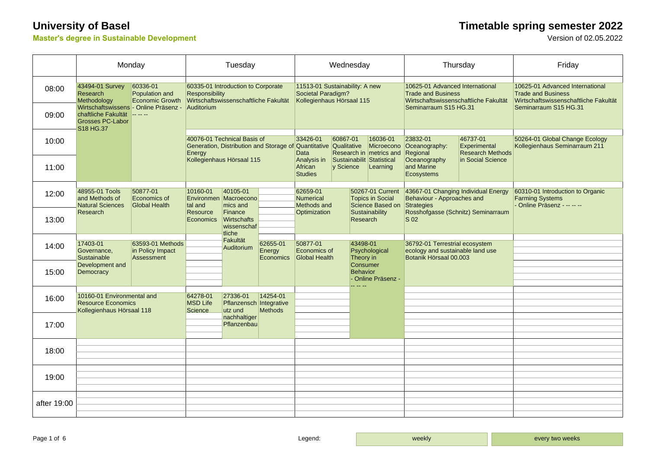### **Master's degree in Sustainable Development**

# **University of Basel**<br>Master's degree in Sustainable Development<br>Version of 02.05.2022

|             | Monday                                                                               |                                                                                        | Tuesday                                                                                                                                |                                                                                                                            |                                        | Wednesday                                                                         |                                        |                                                                                             |                                                                 | Thursday                                                                                                                                 |                                                                 | Friday                                                                                                                         |
|-------------|--------------------------------------------------------------------------------------|----------------------------------------------------------------------------------------|----------------------------------------------------------------------------------------------------------------------------------------|----------------------------------------------------------------------------------------------------------------------------|----------------------------------------|-----------------------------------------------------------------------------------|----------------------------------------|---------------------------------------------------------------------------------------------|-----------------------------------------------------------------|------------------------------------------------------------------------------------------------------------------------------------------|-----------------------------------------------------------------|--------------------------------------------------------------------------------------------------------------------------------|
| 08:00       | 43494-01 Survey<br>Research<br>Methodology                                           | 60336-01<br>Population and<br>Economic Growth<br>Wirtschaftswissens - Online Präsenz - | 60335-01 Introduction to Corporate<br>Responsibility<br>Wirtschaftswissenschaftliche Fakultät<br>Auditorium                            |                                                                                                                            |                                        | 11513-01 Sustainability: A new<br>Societal Paradigm?<br>Kollegienhaus Hörsaal 115 |                                        |                                                                                             |                                                                 | 10625-01 Advanced International<br><b>Trade and Business</b><br>Wirtschaftswissenschaftliche Fakultät<br>Seminarraum S15 HG.31           |                                                                 | 10625-01 Advanced International<br><b>Trade and Business</b><br>Wirtschaftswissenschaftliche Fakultät<br>Seminarraum S15 HG.31 |
| 09:00       | chaftliche Fakultät -----<br><b>Grosses PC-Labor</b><br>S18 HG.37                    |                                                                                        |                                                                                                                                        |                                                                                                                            |                                        |                                                                                   |                                        |                                                                                             |                                                                 |                                                                                                                                          |                                                                 |                                                                                                                                |
| 10:00       |                                                                                      |                                                                                        | 40076-01 Technical Basis of<br>Generation, Distribution and Storage of Quantitative Qualitative<br>Energy<br>Kollegienhaus Hörsaal 115 |                                                                                                                            |                                        | 33426-01<br>Data                                                                  | 60867-01                               | 16036-01<br>Research in metrics and Regional                                                | 23832-01<br>Microecono Oceanography:                            | 46737-01<br>Experimental<br><b>Research Methods</b>                                                                                      | 50264-01 Global Change Ecology<br>Kollegienhaus Seminarraum 211 |                                                                                                                                |
| 11:00       |                                                                                      |                                                                                        |                                                                                                                                        |                                                                                                                            |                                        | Analysis in<br>African<br><b>Studies</b>                                          | Sustainabilit Statistical<br>y Science |                                                                                             | Learning                                                        | Oceanography<br>and Marine<br>Ecosystems                                                                                                 | in Social Science                                               |                                                                                                                                |
| 12:00       | 48955-01 Tools<br>and Methods of<br><b>Natural Sciences</b>                          | 50877-01<br>Economics of<br><b>Global Health</b>                                       | 10160-01<br>tal and<br>Resource<br>Economics                                                                                           | 40105-01<br>Environmen Macroecono<br>mics and<br>Finance<br>Wirtschafts<br>wissenschaf<br>tliche<br>Fakultät<br>Auditorium |                                        | 62659-01<br><b>Numerical</b><br>Methods and                                       | Sustainability<br>Research             |                                                                                             | 50267-01 Current<br><b>Topics in Social</b><br>Science Based on | 43667-01 Changing Individual Energy<br>Behaviour - Approaches and<br>Strategies<br>Rosshofgasse (Schnitz) Seminarraum<br>S <sub>02</sub> |                                                                 | 60310-01 Introduction to Organic<br><b>Farming Systems</b><br>- Online Präsenz - -- -- --                                      |
| 13:00       | Research                                                                             |                                                                                        |                                                                                                                                        |                                                                                                                            |                                        | Optimization                                                                      |                                        |                                                                                             |                                                                 |                                                                                                                                          |                                                                 |                                                                                                                                |
| 14:00       | 17403-01<br>Governance,<br>Sustainable                                               | 63593-01 Methods<br>in Policy Impact<br>Assessment                                     |                                                                                                                                        |                                                                                                                            | 62655-01<br>Energy<br><b>Economics</b> | 50877-01<br>Economics of<br>Global Health                                         |                                        | 43498-01<br>Psychological<br>Theory in<br>Consumer<br><b>Behavior</b><br>- Online Präsenz - |                                                                 | 36792-01 Terrestrial ecosystem<br>ecology and sustainable land use<br>Botanik Hörsaal 00.003                                             |                                                                 |                                                                                                                                |
| 15:00       | Development and<br>Democracy                                                         |                                                                                        |                                                                                                                                        |                                                                                                                            |                                        |                                                                                   |                                        |                                                                                             |                                                                 |                                                                                                                                          |                                                                 |                                                                                                                                |
| 16:00       | 10160-01 Environmental and<br><b>Resource Economics</b><br>Kollegienhaus Hörsaal 118 |                                                                                        | 64278-01<br><b>MSD Life</b><br>Science                                                                                                 | 27336-01<br>Pflanzensch Integrative<br>utz und                                                                             | 14254-01<br><b>Methods</b>             |                                                                                   |                                        |                                                                                             |                                                                 |                                                                                                                                          |                                                                 |                                                                                                                                |
| 17:00       |                                                                                      |                                                                                        |                                                                                                                                        | nachhaltiger<br>Pflanzenbau                                                                                                |                                        |                                                                                   |                                        |                                                                                             |                                                                 |                                                                                                                                          |                                                                 |                                                                                                                                |
| 18:00       |                                                                                      |                                                                                        |                                                                                                                                        |                                                                                                                            |                                        |                                                                                   |                                        |                                                                                             |                                                                 |                                                                                                                                          |                                                                 |                                                                                                                                |
| 19:00       |                                                                                      |                                                                                        |                                                                                                                                        |                                                                                                                            |                                        |                                                                                   |                                        |                                                                                             |                                                                 |                                                                                                                                          |                                                                 |                                                                                                                                |
| after 19:00 |                                                                                      |                                                                                        |                                                                                                                                        |                                                                                                                            |                                        |                                                                                   |                                        |                                                                                             |                                                                 |                                                                                                                                          |                                                                 |                                                                                                                                |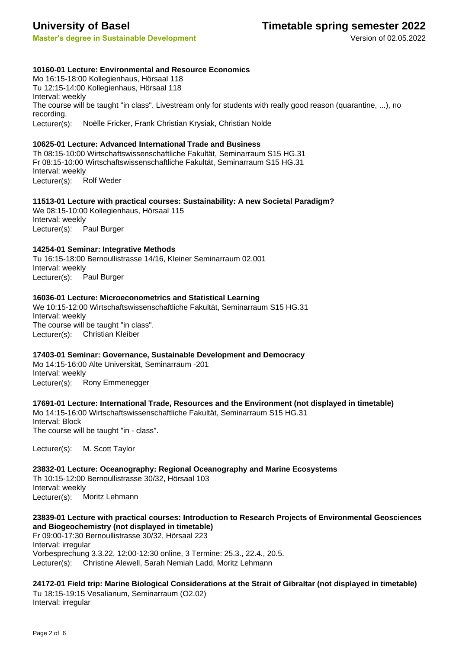**Master's degree in Sustainable Development** Version of 02.05.2022

### **University of Basel Timetable spring semester 2022**

#### **10160-01 Lecture: Environmental and Resource Economics**

Mo 16:15-18:00 Kollegienhaus, Hörsaal 118 Tu 12:15-14:00 Kollegienhaus, Hörsaal 118 Interval: weekly The course will be taught "in class". Livestream only for students with really good reason (quarantine, ...), no recording. Lecturer(s): Noëlle Fricker, Frank Christian Krysiak, Christian Nolde

#### **10625-01 Lecture: Advanced International Trade and Business**

Th 08:15-10:00 Wirtschaftswissenschaftliche Fakultät, Seminarraum S15 HG.31 Fr 08:15-10:00 Wirtschaftswissenschaftliche Fakultät, Seminarraum S15 HG.31 Interval: weekly Lecturer(s): Rolf Weder

#### **11513-01 Lecture with practical courses: Sustainability: A new Societal Paradigm?**

We 08:15-10:00 Kollegienhaus, Hörsaal 115 Interval: weekly Lecturer(s): Paul Burger

#### **14254-01 Seminar: Integrative Methods**

Tu 16:15-18:00 Bernoullistrasse 14/16, Kleiner Seminarraum 02.001 Interval: weekly Lecturer(s): Paul Burger

#### **16036-01 Lecture: Microeconometrics and Statistical Learning**

We 10:15-12:00 Wirtschaftswissenschaftliche Fakultät, Seminarraum S15 HG.31 Interval: weekly The course will be taught "in class". Lecturer(s): Christian Kleiber

#### **17403-01 Seminar: Governance, Sustainable Development and Democracy**

Mo 14:15-16:00 Alte Universität, Seminarraum -201 Interval: weekly Lecturer(s): Rony Emmenegger

#### **17691-01 Lecture: International Trade, Resources and the Environment (not displayed in timetable)** Mo 14:15-16:00 Wirtschaftswissenschaftliche Fakultät, Seminarraum S15 HG.31 Interval: Block The course will be taught "in - class".

Lecturer(s): M. Scott Taylor

**23832-01 Lecture: Oceanography: Regional Oceanography and Marine Ecosystems** Th 10:15-12:00 Bernoullistrasse 30/32, Hörsaal 103 Interval: weekly Lecturer(s): Moritz Lehmann

### **23839-01 Lecture with practical courses: Introduction to Research Projects of Environmental Geosciences and Biogeochemistry (not displayed in timetable)**

Fr 09:00-17:30 Bernoullistrasse 30/32, Hörsaal 223 Interval: irregular Vorbesprechung 3.3.22, 12:00-12:30 online, 3 Termine: 25.3., 22.4., 20.5. Lecturer(s): Christine Alewell, Sarah Nemiah Ladd, Moritz Lehmann

**24172-01 Field trip: Marine Biological Considerations at the Strait of Gibraltar (not displayed in timetable)** Tu 18:15-19:15 Vesalianum, Seminarraum (O2.02) Interval: irregular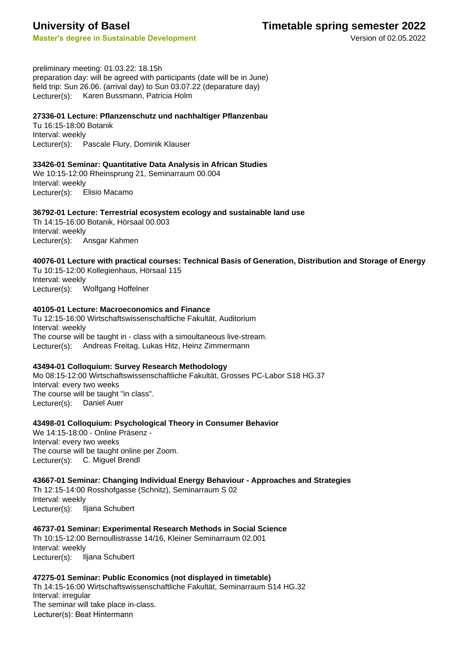### **Master's degree in Sustainable Development** Master's degree in Sustainable Development

**University of Basel Timetable spring semester 2022**

preliminary meeting: 01.03.22: 18.15h preparation day: will be agreed with participants (date will be in June) field trip: Sun 26.06. (arrival day) to Sun 03.07.22 (deparature day) Lecturer(s): Karen Bussmann, Patricia Holm

#### **27336-01 Lecture: Pflanzenschutz und nachhaltiger Pflanzenbau**

Tu 16:15-18:00 Botanik Interval: weekly Lecturer(s): Pascale Flury, Dominik Klauser

#### **33426-01 Seminar: Quantitative Data Analysis in African Studies**

We 10:15-12:00 Rheinsprung 21, Seminarraum 00.004 Interval: weekly Lecturer(s): Elisio Macamo

#### **36792-01 Lecture: Terrestrial ecosystem ecology and sustainable land use**

Th 14:15-16:00 Botanik, Hörsaal 00.003 Interval: weekly Lecturer(s): Ansgar Kahmen

**40076-01 Lecture with practical courses: Technical Basis of Generation, Distribution and Storage of Energy** Tu 10:15-12:00 Kollegienhaus, Hörsaal 115 Interval: weekly Lecturer(s): Wolfgang Hoffelner

#### **40105-01 Lecture: Macroeconomics and Finance**

Tu 12:15-16:00 Wirtschaftswissenschaftliche Fakultät, Auditorium Interval: weekly The course will be taught in - class with a simoultaneous live-stream. Lecturer(s): Andreas Freitag, Lukas Hitz, Heinz Zimmermann

#### **43494-01 Colloquium: Survey Research Methodology**

Mo 08:15-12:00 Wirtschaftswissenschaftliche Fakultät, Grosses PC-Labor S18 HG.37 Interval: every two weeks The course will be taught "in class". Lecturer(s): Daniel Auer

#### **43498-01 Colloquium: Psychological Theory in Consumer Behavior**

We 14:15-18:00 - Online Präsenz - Interval: every two weeks The course will be taught online per Zoom. Lecturer(s): C. Miguel Brendl

#### **43667-01 Seminar: Changing Individual Energy Behaviour - Approaches and Strategies**

Th 12:15-14:00 Rosshofgasse (Schnitz), Seminarraum S 02 Interval: weekly Lecturer(s): Iljana Schubert

**46737-01 Seminar: Experimental Research Methods in Social Science** Th 10:15-12:00 Bernoullistrasse 14/16, Kleiner Seminarraum 02.001 Interval: weekly Lecturer(s): Iljana Schubert

**47275-01 Seminar: Public Economics (not displayed in timetable)** Th 14:15-16:00 Wirtschaftswissenschaftliche Fakultät, Seminarraum S14 HG.32 Interval: irregular The seminar will take place in-class. Lecturer(s): Beat Hintermann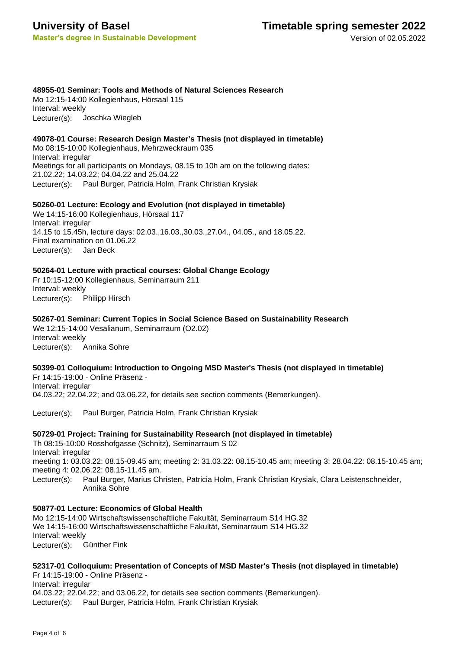# **University of Basel**

**Master's degree in Sustainable Development**

Version of 02.05.2022

#### **48955-01 Seminar: Tools and Methods of Natural Sciences Research**

Mo 12:15-14:00 Kollegienhaus, Hörsaal 115 Interval: weekly Lecturer(s): Joschka Wiegleb

#### **49078-01 Course: Research Design Master's Thesis (not displayed in timetable)**

Mo 08:15-10:00 Kollegienhaus, Mehrzweckraum 035 Interval: irregular Meetings for all participants on Mondays, 08.15 to 10h am on the following dates: 21.02.22; 14.03.22; 04.04.22 and 25.04.22 Lecturer(s): Paul Burger, Patricia Holm, Frank Christian Krysiak

#### **50260-01 Lecture: Ecology and Evolution (not displayed in timetable)**

We 14:15-16:00 Kollegienhaus, Hörsaal 117 Interval: irregular 14.15 to 15.45h, lecture days: 02.03.,16.03.,30.03.,27.04., 04.05., and 18.05.22. Final examination on 01.06.22 Lecturer(s): Jan Beck

#### **50264-01 Lecture with practical courses: Global Change Ecology**

Fr 10:15-12:00 Kollegienhaus, Seminarraum 211 Interval: weekly Lecturer(s): Philipp Hirsch

#### **50267-01 Seminar: Current Topics in Social Science Based on Sustainability Research**

We 12:15-14:00 Vesalianum, Seminarraum (O2.02) Interval: weekly Lecturer(s): Annika Sohre

#### **50399-01 Colloquium: Introduction to Ongoing MSD Master's Thesis (not displayed in timetable)**

Fr 14:15-19:00 - Online Präsenz - Interval: irregular 04.03.22; 22.04.22; and 03.06.22, for details see section comments (Bemerkungen).

Lecturer(s): Paul Burger, Patricia Holm, Frank Christian Krysiak

#### **50729-01 Project: Training for Sustainability Research (not displayed in timetable)**

Th 08:15-10:00 Rosshofgasse (Schnitz), Seminarraum S 02 Interval: irregular meeting 1: 03.03.22: 08.15-09.45 am; meeting 2: 31.03.22: 08.15-10.45 am; meeting 3: 28.04.22: 08.15-10.45 am; meeting 4: 02.06.22: 08.15-11.45 am. Paul Burger, Marius Christen, Patricia Holm, Frank Christian Krysiak, Clara Leistenschneider, Annika Sohre Lecturer(s):

#### **50877-01 Lecture: Economics of Global Health**

Mo 12:15-14:00 Wirtschaftswissenschaftliche Fakultät, Seminarraum S14 HG.32 We 14:15-16:00 Wirtschaftswissenschaftliche Fakultät, Seminarraum S14 HG.32 Interval: weekly Lecturer(s): Günther Fink

#### **52317-01 Colloquium: Presentation of Concepts of MSD Master's Thesis (not displayed in timetable)**

Fr 14:15-19:00 - Online Präsenz - Interval: irregular 04.03.22; 22.04.22; and 03.06.22, for details see section comments (Bemerkungen). Lecturer(s): Paul Burger, Patricia Holm, Frank Christian Krysiak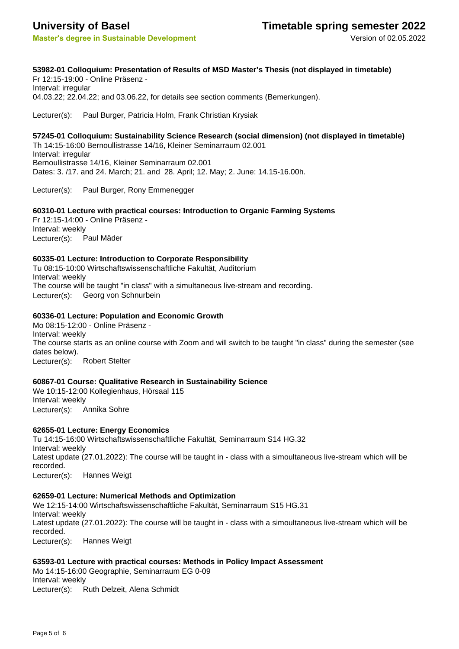### **53982-01 Colloquium: Presentation of Results of MSD Master's Thesis (not displayed in timetable)**

Fr 12:15-19:00 - Online Präsenz - Interval: irregular 04.03.22; 22.04.22; and 03.06.22, for details see section comments (Bemerkungen).

Lecturer(s): Paul Burger, Patricia Holm, Frank Christian Krysiak

**57245-01 Colloquium: Sustainability Science Research (social dimension) (not displayed in timetable)** Th 14:15-16:00 Bernoullistrasse 14/16, Kleiner Seminarraum 02.001 Interval: irregular Bernoullistrasse 14/16, Kleiner Seminarraum 02.001 Dates: 3. /17. and 24. March; 21. and 28. April; 12. May; 2. June: 14.15-16.00h.

Lecturer(s): Paul Burger, Rony Emmenegger

#### **60310-01 Lecture with practical courses: Introduction to Organic Farming Systems**

Fr 12:15-14:00 - Online Präsenz - Interval: weekly Lecturer(s): Paul Mäder

#### **60335-01 Lecture: Introduction to Corporate Responsibility**

Tu 08:15-10:00 Wirtschaftswissenschaftliche Fakultät, Auditorium Interval: weekly The course will be taught "in class" with a simultaneous live-stream and recording. Lecturer(s): Georg von Schnurbein

#### **60336-01 Lecture: Population and Economic Growth**

Mo 08:15-12:00 - Online Präsenz - Interval: weekly The course starts as an online course with Zoom and will switch to be taught "in class" during the semester (see dates below). Lecturer(s): Robert Stelter

#### **60867-01 Course: Qualitative Research in Sustainability Science**

We 10:15-12:00 Kollegienhaus, Hörsaal 115 Interval: weekly Lecturer(s): Annika Sohre

#### **62655-01 Lecture: Energy Economics**

Tu 14:15-16:00 Wirtschaftswissenschaftliche Fakultät, Seminarraum S14 HG.32 Interval: weekly Latest update (27.01.2022): The course will be taught in - class with a simoultaneous live-stream which will be recorded. Lecturer(s): Hannes Weigt

#### **62659-01 Lecture: Numerical Methods and Optimization**

We 12:15-14:00 Wirtschaftswissenschaftliche Fakultät, Seminarraum S15 HG.31 Interval: weekly Latest update (27.01.2022): The course will be taught in - class with a simoultaneous live-stream which will be recorded. Lecturer(s): Hannes Weigt

#### **63593-01 Lecture with practical courses: Methods in Policy Impact Assessment**

Mo 14:15-16:00 Geographie, Seminarraum EG 0-09 Interval: weekly Lecturer(s): Ruth Delzeit, Alena Schmidt